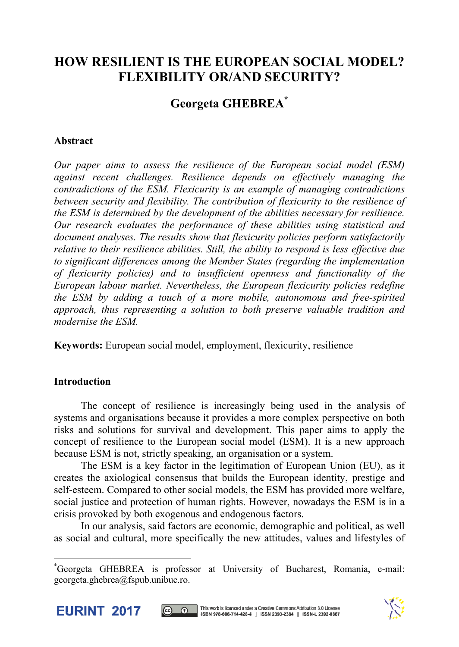# **HOW RESILIENT IS THE EUROPEAN SOCIAL MODEL? FLEXIBILITY OR/AND SECURITY?**

# **Georgeta GHEBREA\***

# **Abstract**

*Our paper aims to assess the resilience of the European social model (ESM) against recent challenges. Resilience depends on effectively managing the contradictions of the ESM. Flexicurity is an example of managing contradictions between security and flexibility. The contribution of flexicurity to the resilience of the ESM is determined by the development of the abilities necessary for resilience. Our research evaluates the performance of these abilities using statistical and document analyses. The results show that flexicurity policies perform satisfactorily relative to their resilience abilities. Still, the ability to respond is less effective due to significant differences among the Member States (regarding the implementation of flexicurity policies) and to insufficient openness and functionality of the European labour market. Nevertheless, the European flexicurity policies redefine the ESM by adding a touch of a more mobile, autonomous and free-spirited approach, thus representing a solution to both preserve valuable tradition and modernise the ESM.* 

**Keywords:** European social model, employment, flexicurity, resilience

# **Introduction**

The concept of resilience is increasingly being used in the analysis of systems and organisations because it provides a more complex perspective on both risks and solutions for survival and development. This paper aims to apply the concept of resilience to the European social model (ESM). It is a new approach because ESM is not, strictly speaking, an organisation or a system.

The ESM is a key factor in the legitimation of European Union (EU), as it creates the axiological consensus that builds the European identity, prestige and self-esteem. Compared to other social models, the ESM has provided more welfare, social justice and protection of human rights. However, nowadays the ESM is in a crisis provoked by both exogenous and endogenous factors.

In our analysis, said factors are economic, demographic and political, as well as social and cultural, more specifically the new attitudes, values and lifestyles of

<sup>\*</sup> Georgeta GHEBREA is professor at University of Bucharest, Romania, e-mail: georgeta.ghebrea@fspub.unibuc.ro.



l



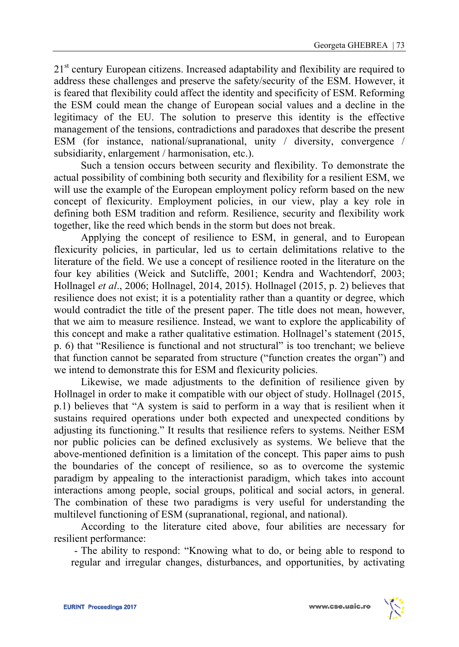21<sup>st</sup> century European citizens. Increased adaptability and flexibility are required to address these challenges and preserve the safety/security of the ESM. However, it is feared that flexibility could affect the identity and specificity of ESM. Reforming the ESM could mean the change of European social values and a decline in the legitimacy of the EU. The solution to preserve this identity is the effective management of the tensions, contradictions and paradoxes that describe the present ESM (for instance, national/supranational, unity / diversity, convergence / subsidiarity, enlargement / harmonisation, etc.).

Such a tension occurs between security and flexibility. To demonstrate the actual possibility of combining both security and flexibility for a resilient ESM, we will use the example of the European employment policy reform based on the new concept of flexicurity. Employment policies, in our view, play a key role in defining both ESM tradition and reform. Resilience, security and flexibility work together, like the reed which bends in the storm but does not break.

Applying the concept of resilience to ESM, in general, and to European flexicurity policies, in particular, led us to certain delimitations relative to the literature of the field. We use a concept of resilience rooted in the literature on the four key abilities (Weick and Sutcliffe, 2001; Kendra and Wachtendorf, 2003; Hollnagel *et al*., 2006; Hollnagel, 2014, 2015). Hollnagel (2015, p. 2) believes that resilience does not exist; it is a potentiality rather than a quantity or degree, which would contradict the title of the present paper. The title does not mean, however, that we aim to measure resilience. Instead, we want to explore the applicability of this concept and make a rather qualitative estimation. Hollnagel's statement (2015, p. 6) that "Resilience is functional and not structural" is too trenchant; we believe that function cannot be separated from structure ("function creates the organ") and we intend to demonstrate this for ESM and flexicurity policies.

Likewise, we made adjustments to the definition of resilience given by Hollnagel in order to make it compatible with our object of study. Hollnagel (2015, p.1) believes that "A system is said to perform in a way that is resilient when it sustains required operations under both expected and unexpected conditions by adjusting its functioning." It results that resilience refers to systems. Neither ESM nor public policies can be defined exclusively as systems. We believe that the above-mentioned definition is a limitation of the concept. This paper aims to push the boundaries of the concept of resilience, so as to overcome the systemic paradigm by appealing to the interactionist paradigm, which takes into account interactions among people, social groups, political and social actors, in general. The combination of these two paradigms is very useful for understanding the multilevel functioning of ESM (supranational, regional, and national).

According to the literature cited above, four abilities are necessary for resilient performance:

- The ability to respond: "Knowing what to do, or being able to respond to regular and irregular changes, disturbances, and opportunities, by activating

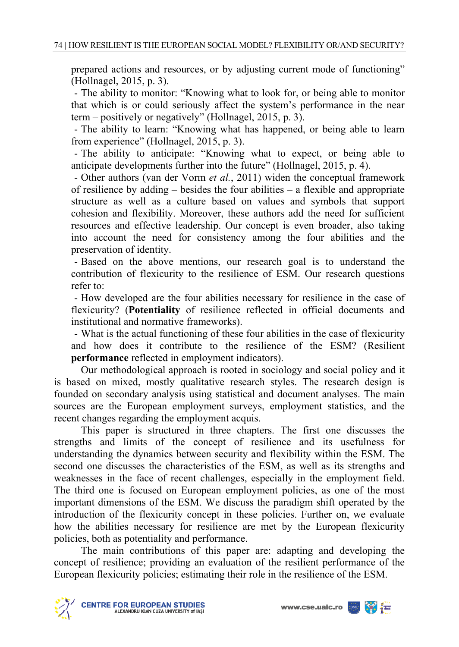prepared actions and resources, or by adjusting current mode of functioning" (Hollnagel, 2015, p. 3).

- The ability to monitor: "Knowing what to look for, or being able to monitor that which is or could seriously affect the system's performance in the near term – positively or negatively" (Hollnagel, 2015, p. 3).

- The ability to learn: "Knowing what has happened, or being able to learn from experience" (Hollnagel, 2015, p. 3).

- The ability to anticipate: "Knowing what to expect, or being able to anticipate developments further into the future" (Hollnagel, 2015, p. 4).

- Other authors (van der Vorm *et al.*, 2011) widen the conceptual framework of resilience by adding – besides the four abilities – a flexible and appropriate structure as well as a culture based on values and symbols that support cohesion and flexibility. Moreover, these authors add the need for sufficient resources and effective leadership. Our concept is even broader, also taking into account the need for consistency among the four abilities and the preservation of identity.

- Based on the above mentions, our research goal is to understand the contribution of flexicurity to the resilience of ESM. Our research questions refer to:

- How developed are the four abilities necessary for resilience in the case of flexicurity? (**Potentiality** of resilience reflected in official documents and institutional and normative frameworks).

- What is the actual functioning of these four abilities in the case of flexicurity and how does it contribute to the resilience of the ESM? (Resilient **performance** reflected in employment indicators).

Our methodological approach is rooted in sociology and social policy and it is based on mixed, mostly qualitative research styles. The research design is founded on secondary analysis using statistical and document analyses. The main sources are the European employment surveys, employment statistics, and the recent changes regarding the employment acquis.

This paper is structured in three chapters. The first one discusses the strengths and limits of the concept of resilience and its usefulness for understanding the dynamics between security and flexibility within the ESM. The second one discusses the characteristics of the ESM, as well as its strengths and weaknesses in the face of recent challenges, especially in the employment field. The third one is focused on European employment policies, as one of the most important dimensions of the ESM. We discuss the paradigm shift operated by the introduction of the flexicurity concept in these policies. Further on, we evaluate how the abilities necessary for resilience are met by the European flexicurity policies, both as potentiality and performance.

The main contributions of this paper are: adapting and developing the concept of resilience; providing an evaluation of the resilient performance of the European flexicurity policies; estimating their role in the resilience of the ESM.



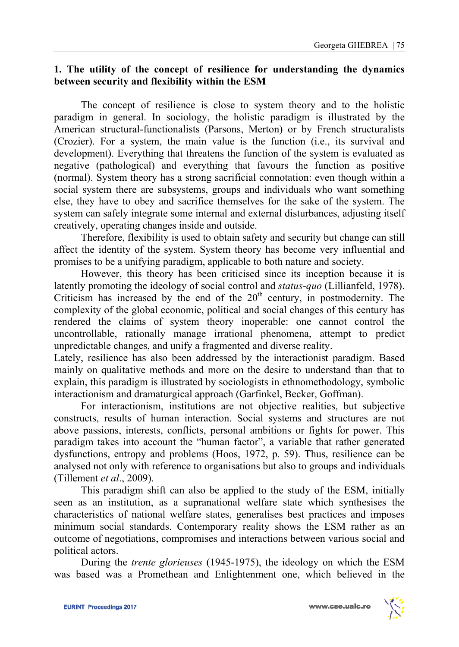### **1. The utility of the concept of resilience for understanding the dynamics between security and flexibility within the ESM**

The concept of resilience is close to system theory and to the holistic paradigm in general. In sociology, the holistic paradigm is illustrated by the American structural-functionalists (Parsons, Merton) or by French structuralists (Crozier). For a system, the main value is the function (i.e., its survival and development). Everything that threatens the function of the system is evaluated as negative (pathological) and everything that favours the function as positive (normal). System theory has a strong sacrificial connotation: even though within a social system there are subsystems, groups and individuals who want something else, they have to obey and sacrifice themselves for the sake of the system. The system can safely integrate some internal and external disturbances, adjusting itself creatively, operating changes inside and outside.

 Therefore, flexibility is used to obtain safety and security but change can still affect the identity of the system. System theory has become very influential and promises to be a unifying paradigm, applicable to both nature and society.

 However, this theory has been criticised since its inception because it is latently promoting the ideology of social control and *status-quo* (Lillianfeld, 1978). Criticism has increased by the end of the  $20<sup>th</sup>$  century, in postmodernity. The complexity of the global economic, political and social changes of this century has rendered the claims of system theory inoperable: one cannot control the uncontrollable, rationally manage irrational phenomena, attempt to predict unpredictable changes, and unify a fragmented and diverse reality.

Lately, resilience has also been addressed by the interactionist paradigm. Based mainly on qualitative methods and more on the desire to understand than that to explain, this paradigm is illustrated by sociologists in ethnomethodology, symbolic interactionism and dramaturgical approach (Garfinkel, Becker, Goffman).

 For interactionism, institutions are not objective realities, but subjective constructs, results of human interaction. Social systems and structures are not above passions, interests, conflicts, personal ambitions or fights for power. This paradigm takes into account the "human factor", a variable that rather generated dysfunctions, entropy and problems (Hoos, 1972, p. 59). Thus, resilience can be analysed not only with reference to organisations but also to groups and individuals (Tillement *et al*., 2009).

This paradigm shift can also be applied to the study of the ESM, initially seen as an institution, as a supranational welfare state which synthesises the characteristics of national welfare states, generalises best practices and imposes minimum social standards. Contemporary reality shows the ESM rather as an outcome of negotiations, compromises and interactions between various social and political actors.

During the *trente glorieuses* (1945-1975), the ideology on which the ESM was based was a Promethean and Enlightenment one, which believed in the

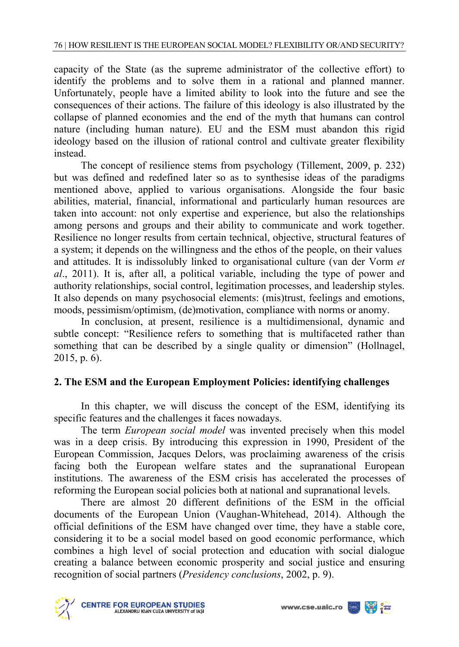capacity of the State (as the supreme administrator of the collective effort) to identify the problems and to solve them in a rational and planned manner. Unfortunately, people have a limited ability to look into the future and see the consequences of their actions. The failure of this ideology is also illustrated by the collapse of planned economies and the end of the myth that humans can control nature (including human nature). EU and the ESM must abandon this rigid ideology based on the illusion of rational control and cultivate greater flexibility instead.

The concept of resilience stems from psychology (Tillement, 2009, p. 232) but was defined and redefined later so as to synthesise ideas of the paradigms mentioned above, applied to various organisations. Alongside the four basic abilities, material, financial, informational and particularly human resources are taken into account: not only expertise and experience, but also the relationships among persons and groups and their ability to communicate and work together. Resilience no longer results from certain technical, objective, structural features of a system; it depends on the willingness and the ethos of the people, on their values and attitudes. It is indissolubly linked to organisational culture (van der Vorm *et al*., 2011). It is, after all, a political variable, including the type of power and authority relationships, social control, legitimation processes, and leadership styles. It also depends on many psychosocial elements: (mis)trust, feelings and emotions, moods, pessimism/optimism, (de)motivation, compliance with norms or anomy.

In conclusion, at present, resilience is a multidimensional, dynamic and subtle concept: "Resilience refers to something that is multifaceted rather than something that can be described by a single quality or dimension" (Hollnagel, 2015, p. 6).

# **2. The ESM and the European Employment Policies: identifying challenges**

In this chapter, we will discuss the concept of the ESM, identifying its specific features and the challenges it faces nowadays.

The term *European social model* was invented precisely when this model was in a deep crisis. By introducing this expression in 1990, President of the European Commission, Jacques Delors, was proclaiming awareness of the crisis facing both the European welfare states and the supranational European institutions. The awareness of the ESM crisis has accelerated the processes of reforming the European social policies both at national and supranational levels.

There are almost 20 different definitions of the ESM in the official documents of the European Union (Vaughan-Whitehead, 2014). Although the official definitions of the ESM have changed over time, they have a stable core, considering it to be a social model based on good economic performance, which combines a high level of social protection and education with social dialogue creating a balance between economic prosperity and social justice and ensuring recognition of social partners (*Presidency conclusions*, 2002, p. 9).





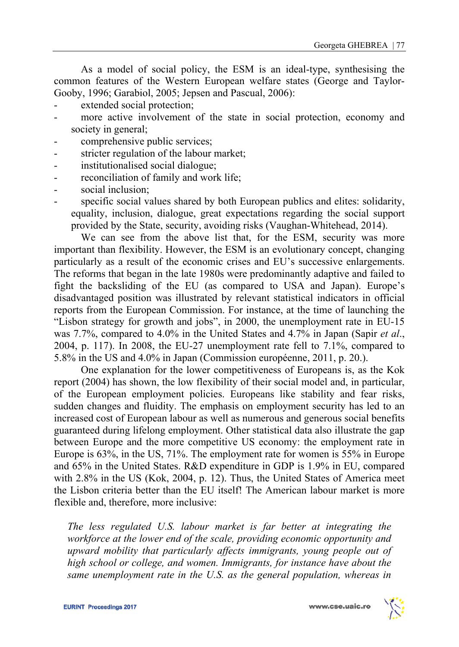As a model of social policy, the ESM is an ideal-type, synthesising the common features of the Western European welfare states (George and Taylor-Gooby, 1996; Garabiol, 2005; Jepsen and Pascual, 2006):

- extended social protection;
- more active involvement of the state in social protection, economy and society in general;
- comprehensive public services;
- stricter regulation of the labour market;
- institutionalised social dialogue:
- reconciliation of family and work life;
- social inclusion:
- specific social values shared by both European publics and elites: solidarity, equality, inclusion, dialogue, great expectations regarding the social support provided by the State, security, avoiding risks (Vaughan-Whitehead, 2014).

We can see from the above list that, for the ESM, security was more important than flexibility. However, the ESM is an evolutionary concept, changing particularly as a result of the economic crises and EU's successive enlargements. The reforms that began in the late 1980s were predominantly adaptive and failed to fight the backsliding of the EU (as compared to USA and Japan). Europe's disadvantaged position was illustrated by relevant statistical indicators in official reports from the European Commission. For instance, at the time of launching the "Lisbon strategy for growth and jobs", in 2000, the unemployment rate in EU-15 was 7.7%, compared to 4.0% in the United States and 4.7% in Japan (Sapir *et al*., 2004, p. 117). In 2008, the EU-27 unemployment rate fell to 7.1%, compared to 5.8% in the US and 4.0% in Japan (Commission européenne, 2011, p. 20.).

 One explanation for the lower competitiveness of Europeans is, as the Kok report (2004) has shown, the low flexibility of their social model and, in particular, of the European employment policies. Europeans like stability and fear risks, sudden changes and fluidity. The emphasis on employment security has led to an increased cost of European labour as well as numerous and generous social benefits guaranteed during lifelong employment. Other statistical data also illustrate the gap between Europe and the more competitive US economy: the employment rate in Europe is 63%, in the US, 71%. The employment rate for women is 55% in Europe and 65% in the United States. R&D expenditure in GDP is 1.9% in EU, compared with 2.8% in the US (Kok, 2004, p. 12). Thus, the United States of America meet the Lisbon criteria better than the EU itself! The American labour market is more flexible and, therefore, more inclusive:

*The less regulated U.S. labour market is far better at integrating the workforce at the lower end of the scale, providing economic opportunity and upward mobility that particularly affects immigrants, young people out of high school or college, and women. Immigrants, for instance have about the same unemployment rate in the U.S. as the general population, whereas in* 

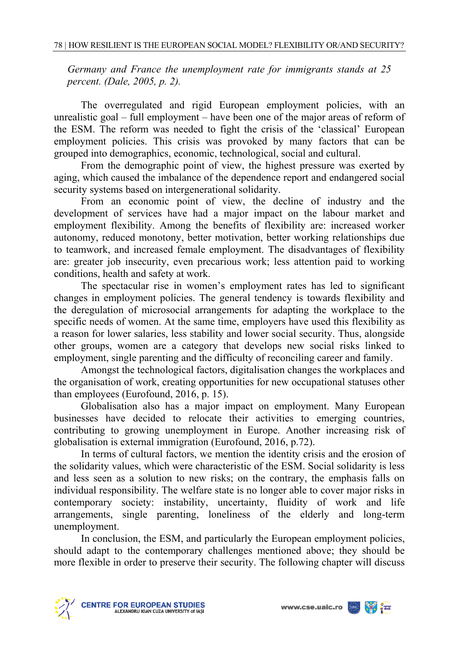*Germany and France the unemployment rate for immigrants stands at 25 percent. (Dale, 2005, p. 2).* 

The overregulated and rigid European employment policies, with an unrealistic goal – full employment – have been one of the major areas of reform of the ESM. The reform was needed to fight the crisis of the 'classical' European employment policies. This crisis was provoked by many factors that can be grouped into demographics, economic, technological, social and cultural.

From the demographic point of view, the highest pressure was exerted by aging, which caused the imbalance of the dependence report and endangered social security systems based on intergenerational solidarity.

From an economic point of view, the decline of industry and the development of services have had a major impact on the labour market and employment flexibility. Among the benefits of flexibility are: increased worker autonomy, reduced monotony, better motivation, better working relationships due to teamwork, and increased female employment. The disadvantages of flexibility are: greater job insecurity, even precarious work; less attention paid to working conditions, health and safety at work.

The spectacular rise in women's employment rates has led to significant changes in employment policies. The general tendency is towards flexibility and the deregulation of microsocial arrangements for adapting the workplace to the specific needs of women. At the same time, employers have used this flexibility as a reason for lower salaries, less stability and lower social security. Thus, alongside other groups, women are a category that develops new social risks linked to employment, single parenting and the difficulty of reconciling career and family.

Amongst the technological factors, digitalisation changes the workplaces and the organisation of work, creating opportunities for new occupational statuses other than employees (Eurofound, 2016, p. 15).

Globalisation also has a major impact on employment. Many European businesses have decided to relocate their activities to emerging countries, contributing to growing unemployment in Europe. Another increasing risk of globalisation is external immigration (Eurofound, 2016, p.72).

In terms of cultural factors, we mention the identity crisis and the erosion of the solidarity values, which were characteristic of the ESM. Social solidarity is less and less seen as a solution to new risks; on the contrary, the emphasis falls on individual responsibility. The welfare state is no longer able to cover major risks in contemporary society: instability, uncertainty, fluidity of work and life arrangements, single parenting, loneliness of the elderly and long-term unemployment.

In conclusion, the ESM, and particularly the European employment policies, should adapt to the contemporary challenges mentioned above; they should be more flexible in order to preserve their security. The following chapter will discuss



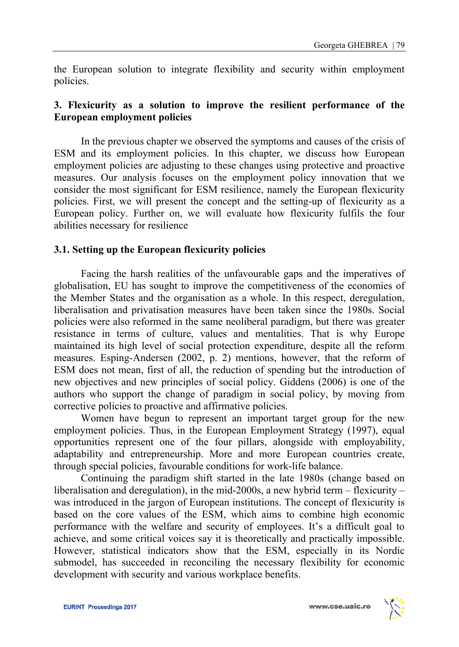the European solution to integrate flexibility and security within employment policies.

### **3. Flexicurity as a solution to improve the resilient performance of the European employment policies**

 In the previous chapter we observed the symptoms and causes of the crisis of ESM and its employment policies. In this chapter, we discuss how European employment policies are adjusting to these changes using protective and proactive measures. Our analysis focuses on the employment policy innovation that we consider the most significant for ESM resilience, namely the European flexicurity policies. First, we will present the concept and the setting-up of flexicurity as a European policy. Further on, we will evaluate how flexicurity fulfils the four abilities necessary for resilience

### **3.1. Setting up the European flexicurity policies**

Facing the harsh realities of the unfavourable gaps and the imperatives of globalisation, EU has sought to improve the competitiveness of the economies of the Member States and the organisation as a whole. In this respect, deregulation, liberalisation and privatisation measures have been taken since the 1980s. Social policies were also reformed in the same neoliberal paradigm, but there was greater resistance in terms of culture, values and mentalities. That is why Europe maintained its high level of social protection expenditure, despite all the reform measures. Esping-Andersen (2002, p. 2) mentions, however, that the reform of ESM does not mean, first of all, the reduction of spending but the introduction of new objectives and new principles of social policy. Giddens (2006) is one of the authors who support the change of paradigm in social policy, by moving from corrective policies to proactive and affirmative policies.

Women have begun to represent an important target group for the new employment policies. Thus, in the European Employment Strategy (1997), equal opportunities represent one of the four pillars, alongside with employability, adaptability and entrepreneurship. More and more European countries create, through special policies, favourable conditions for work-life balance.

Continuing the paradigm shift started in the late 1980s (change based on liberalisation and deregulation), in the mid-2000s, a new hybrid term – flexicurity – was introduced in the jargon of European institutions. The concept of flexicurity is based on the core values of the ESM, which aims to combine high economic performance with the welfare and security of employees. It's a difficult goal to achieve, and some critical voices say it is theoretically and practically impossible. However, statistical indicators show that the ESM, especially in its Nordic submodel, has succeeded in reconciling the necessary flexibility for economic development with security and various workplace benefits.

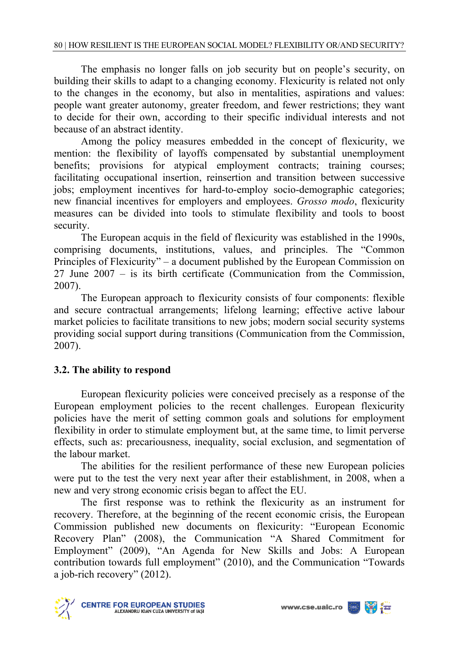The emphasis no longer falls on job security but on people's security, on building their skills to adapt to a changing economy. Flexicurity is related not only to the changes in the economy, but also in mentalities, aspirations and values: people want greater autonomy, greater freedom, and fewer restrictions; they want to decide for their own, according to their specific individual interests and not because of an abstract identity.

Among the policy measures embedded in the concept of flexicurity, we mention: the flexibility of layoffs compensated by substantial unemployment benefits; provisions for atypical employment contracts; training courses; facilitating occupational insertion, reinsertion and transition between successive jobs; employment incentives for hard-to-employ socio-demographic categories; new financial incentives for employers and employees. *Grosso modo*, flexicurity measures can be divided into tools to stimulate flexibility and tools to boost security.

The European acquis in the field of flexicurity was established in the 1990s, comprising documents, institutions, values, and principles. The "Common Principles of Flexicurity" – a document published by the European Commission on 27 June 2007 – is its birth certificate (Communication from the Commission, 2007).

The European approach to flexicurity consists of four components: flexible and secure contractual arrangements; lifelong learning; effective active labour market policies to facilitate transitions to new jobs; modern social security systems providing social support during transitions (Communication from the Commission, 2007).

# **3.2. The ability to respond**

European flexicurity policies were conceived precisely as a response of the European employment policies to the recent challenges. European flexicurity policies have the merit of setting common goals and solutions for employment flexibility in order to stimulate employment but, at the same time, to limit perverse effects, such as: precariousness, inequality, social exclusion, and segmentation of the labour market.

The abilities for the resilient performance of these new European policies were put to the test the very next year after their establishment, in 2008, when a new and very strong economic crisis began to affect the EU.

The first response was to rethink the flexicurity as an instrument for recovery. Therefore, at the beginning of the recent economic crisis, the European Commission published new documents on flexicurity: "European Economic Recovery Plan" (2008), the Communication "A Shared Commitment for Employment" (2009), "An Agenda for New Skills and Jobs: A European contribution towards full employment" (2010), and the Communication "Towards a job-rich recovery" (2012).



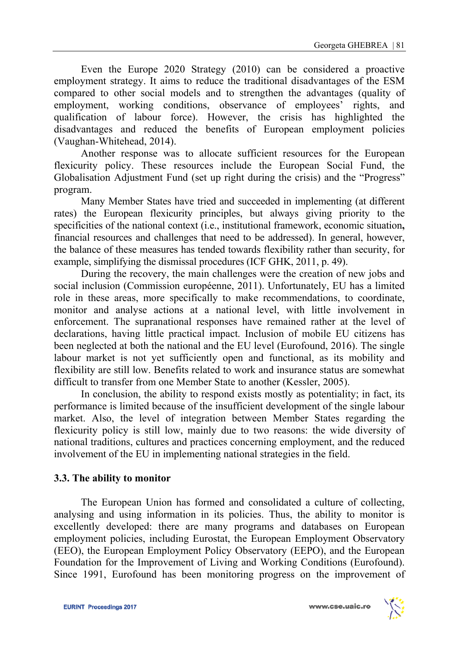Even the Europe 2020 Strategy (2010) can be considered a proactive employment strategy. It aims to reduce the traditional disadvantages of the ESM compared to other social models and to strengthen the advantages (quality of employment, working conditions, observance of employees' rights, and qualification of labour force). However, the crisis has highlighted the disadvantages and reduced the benefits of European employment policies (Vaughan-Whitehead, 2014).

Another response was to allocate sufficient resources for the European flexicurity policy. These resources include the European Social Fund, the Globalisation Adjustment Fund (set up right during the crisis) and the "Progress" program.

Many Member States have tried and succeeded in implementing (at different rates) the European flexicurity principles, but always giving priority to the specificities of the national context (i.e., institutional framework, economic situation**,**  financial resources and challenges that need to be addressed). In general, however, the balance of these measures has tended towards flexibility rather than security, for example, simplifying the dismissal procedures (ICF GHK, 2011, p. 49).

During the recovery, the main challenges were the creation of new jobs and social inclusion (Commission européenne, 2011). Unfortunately, EU has a limited role in these areas, more specifically to make recommendations, to coordinate, monitor and analyse actions at a national level, with little involvement in enforcement. The supranational responses have remained rather at the level of declarations, having little practical impact. Inclusion of mobile EU citizens has been neglected at both the national and the EU level (Eurofound, 2016). The single labour market is not yet sufficiently open and functional, as its mobility and flexibility are still low. Benefits related to work and insurance status are somewhat difficult to transfer from one Member State to another (Kessler, 2005).

In conclusion, the ability to respond exists mostly as potentiality; in fact, its performance is limited because of the insufficient development of the single labour market. Also, the level of integration between Member States regarding the flexicurity policy is still low, mainly due to two reasons: the wide diversity of national traditions, cultures and practices concerning employment, and the reduced involvement of the EU in implementing national strategies in the field.

#### **3.3. The ability to monitor**

The European Union has formed and consolidated a culture of collecting, analysing and using information in its policies. Thus, the ability to monitor is excellently developed: there are many programs and databases on European employment policies, including Eurostat, the European Employment Observatory (EEO), the European Employment Policy Observatory (EEPO), and the European Foundation for the Improvement of Living and Working Conditions (Eurofound). Since 1991, Eurofound has been monitoring progress on the improvement of

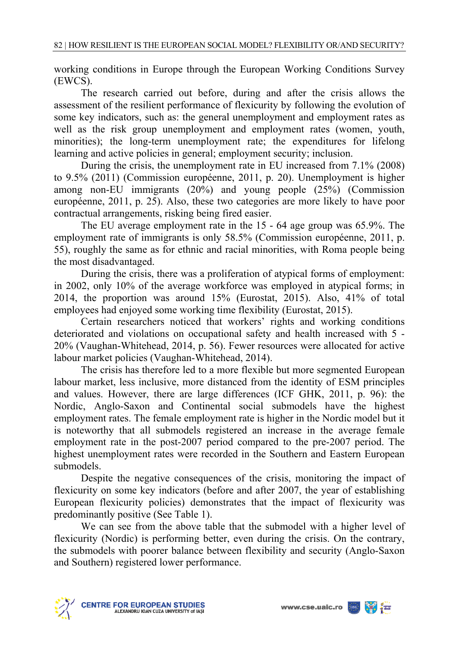working conditions in Europe through the European Working Conditions Survey (EWCS).

The research carried out before, during and after the crisis allows the assessment of the resilient performance of flexicurity by following the evolution of some key indicators, such as: the general unemployment and employment rates as well as the risk group unemployment and employment rates (women, youth, minorities); the long-term unemployment rate; the expenditures for lifelong learning and active policies in general; employment security; inclusion.

During the crisis, the unemployment rate in EU increased from 7.1% (2008) to 9.5% (2011) (Commission européenne, 2011, p. 20). Unemployment is higher among non-EU immigrants (20%) and young people (25%) (Commission européenne, 2011, p. 25). Also, these two categories are more likely to have poor contractual arrangements, risking being fired easier.

The EU average employment rate in the 15 - 64 age group was 65.9%. The employment rate of immigrants is only 58.5% (Commission européenne, 2011, p. 55), roughly the same as for ethnic and racial minorities, with Roma people being the most disadvantaged.

During the crisis, there was a proliferation of atypical forms of employment: in 2002, only 10% of the average workforce was employed in atypical forms; in 2014, the proportion was around 15% (Eurostat, 2015). Also, 41% of total employees had enjoyed some working time flexibility (Eurostat, 2015).

Certain researchers noticed that workers' rights and working conditions deteriorated and violations on occupational safety and health increased with 5 - 20% (Vaughan-Whitehead, 2014, p. 56). Fewer resources were allocated for active labour market policies (Vaughan-Whitehead, 2014).

The crisis has therefore led to a more flexible but more segmented European labour market, less inclusive, more distanced from the identity of ESM principles and values. However, there are large differences (ICF GHK, 2011, p. 96): the Nordic, Anglo-Saxon and Continental social submodels have the highest employment rates. The female employment rate is higher in the Nordic model but it is noteworthy that all submodels registered an increase in the average female employment rate in the post-2007 period compared to the pre-2007 period. The highest unemployment rates were recorded in the Southern and Eastern European submodels.

Despite the negative consequences of the crisis, monitoring the impact of flexicurity on some key indicators (before and after 2007, the year of establishing European flexicurity policies) demonstrates that the impact of flexicurity was predominantly positive (See Table 1).

We can see from the above table that the submodel with a higher level of flexicurity (Nordic) is performing better, even during the crisis. On the contrary, the submodels with poorer balance between flexibility and security (Anglo-Saxon and Southern) registered lower performance.



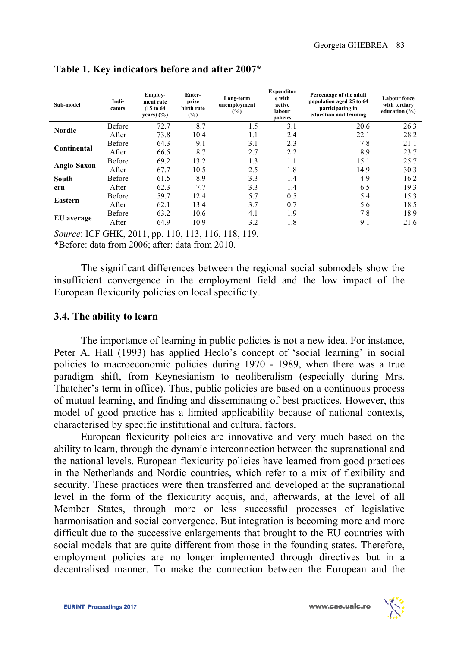| Sub-model     | Indi-<br>cators | Employ-<br>ment rate<br>(15 to 64)<br>years) $(\% )$ | Enter-<br>prise<br>birth rate<br>(%) | Long-term<br>unemployment<br>(%) | <b>Expenditur</b><br>e with<br>active<br>labour<br>policies | Percentage of the adult<br>population aged 25 to 64<br>participating in<br>education and training | <b>Labour</b> force<br>with tertiary<br>education (%) |
|---------------|-----------------|------------------------------------------------------|--------------------------------------|----------------------------------|-------------------------------------------------------------|---------------------------------------------------------------------------------------------------|-------------------------------------------------------|
| <b>Nordic</b> | Before          | 72.7                                                 | 8.7                                  | 1.5                              | 3.1                                                         | 20.6                                                                                              | 26.3                                                  |
|               | <b>After</b>    | 73.8                                                 | 10.4                                 | 1.1                              | 2.4                                                         | 22.1                                                                                              | 28.2                                                  |
| Continental   | Before          | 64.3                                                 | 9.1                                  | 3.1                              | 2.3                                                         | 7.8                                                                                               | 21.1                                                  |
|               | After           | 66.5                                                 | 8.7                                  | 2.7                              | 2.2                                                         | 8.9                                                                                               | 23.7                                                  |
| Anglo-Saxon   | <b>Before</b>   | 69.2                                                 | 13.2                                 | 1.3                              | 1.1                                                         | 15.1                                                                                              | 25.7                                                  |
|               | After           | 67.7                                                 | 10.5                                 | 2.5                              | 1.8                                                         | 14.9                                                                                              | 30.3                                                  |
| South         | Before          | 61.5                                                 | 8.9                                  | 3.3                              | 1.4                                                         | 4.9                                                                                               | 16.2                                                  |
| ern           | After           | 62.3                                                 | 7.7                                  | 3.3                              | 1.4                                                         | 6.5                                                                                               | 19.3                                                  |
| Eastern       | Before          | 59.7                                                 | 12.4                                 | 5.7                              | 0.5                                                         | 5.4                                                                                               | 15.3                                                  |
|               | After           | 62.1                                                 | 13.4                                 | 3.7                              | 0.7                                                         | 5.6                                                                                               | 18.5                                                  |
| EU average    | Before          | 63.2                                                 | 10.6                                 | 4.1                              | 1.9                                                         | 7.8                                                                                               | 18.9                                                  |
|               | After           | 64.9                                                 | 10.9                                 | 3.2                              | 1.8                                                         | 9.1                                                                                               | 21.6                                                  |

**Table 1. Key indicators before and after 2007\*** 

*Source*: ICF GHK, 2011, pp. 110, 113, 116, 118, 119.

\*Before: data from 2006; after: data from 2010.

The significant differences between the regional social submodels show the insufficient convergence in the employment field and the low impact of the European flexicurity policies on local specificity.

#### **3.4. The ability to learn**

 The importance of learning in public policies is not a new idea. For instance, Peter A. Hall (1993) has applied Heclo's concept of 'social learning' in social policies to macroeconomic policies during 1970 - 1989, when there was a true paradigm shift, from Keynesianism to neoliberalism (especially during Mrs. Thatcher's term in office). Thus, public policies are based on a continuous process of mutual learning, and finding and disseminating of best practices. However, this model of good practice has a limited applicability because of national contexts, characterised by specific institutional and cultural factors.

 European flexicurity policies are innovative and very much based on the ability to learn, through the dynamic interconnection between the supranational and the national levels. European flexicurity policies have learned from good practices in the Netherlands and Nordic countries, which refer to a mix of flexibility and security. These practices were then transferred and developed at the supranational level in the form of the flexicurity acquis, and, afterwards, at the level of all Member States, through more or less successful processes of legislative harmonisation and social convergence. But integration is becoming more and more difficult due to the successive enlargements that brought to the EU countries with social models that are quite different from those in the founding states. Therefore, employment policies are no longer implemented through directives but in a decentralised manner. To make the connection between the European and the

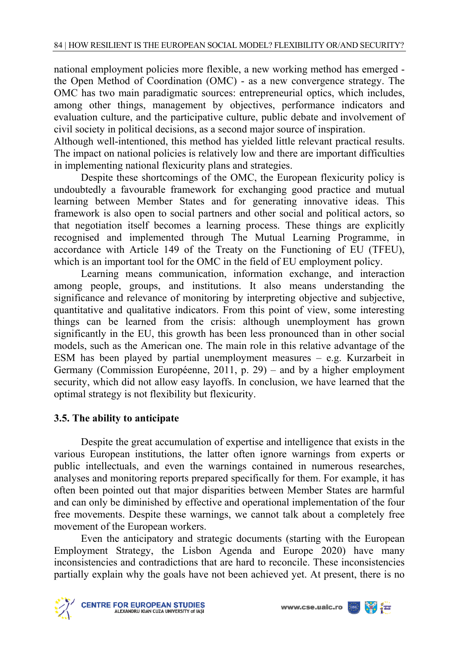national employment policies more flexible, a new working method has emerged the Open Method of Coordination (OMC) - as a new convergence strategy. The OMC has two main paradigmatic sources: entrepreneurial optics, which includes, among other things, management by objectives, performance indicators and evaluation culture, and the participative culture, public debate and involvement of civil society in political decisions, as a second major source of inspiration.

Although well-intentioned, this method has yielded little relevant practical results. The impact on national policies is relatively low and there are important difficulties in implementing national flexicurity plans and strategies.

 Despite these shortcomings of the OMC, the European flexicurity policy is undoubtedly a favourable framework for exchanging good practice and mutual learning between Member States and for generating innovative ideas. This framework is also open to social partners and other social and political actors, so that negotiation itself becomes a learning process. These things are explicitly recognised and implemented through The Mutual Learning Programme, in accordance with Article 149 of the Treaty on the Functioning of EU (TFEU), which is an important tool for the OMC in the field of EU employment policy.

 Learning means communication, information exchange, and interaction among people, groups, and institutions. It also means understanding the significance and relevance of monitoring by interpreting objective and subjective, quantitative and qualitative indicators. From this point of view, some interesting things can be learned from the crisis: although unemployment has grown significantly in the EU, this growth has been less pronounced than in other social models, such as the American one. The main role in this relative advantage of the ESM has been played by partial unemployment measures – e.g. Kurzarbeit in Germany (Commission Européenne, 2011, p. 29) – and by a higher employment security, which did not allow easy layoffs. In conclusion, we have learned that the optimal strategy is not flexibility but flexicurity.

# **3.5. The ability to anticipate**

Despite the great accumulation of expertise and intelligence that exists in the various European institutions, the latter often ignore warnings from experts or public intellectuals, and even the warnings contained in numerous researches, analyses and monitoring reports prepared specifically for them. For example, it has often been pointed out that major disparities between Member States are harmful and can only be diminished by effective and operational implementation of the four free movements. Despite these warnings, we cannot talk about a completely free movement of the European workers.

Even the anticipatory and strategic documents (starting with the European Employment Strategy, the Lisbon Agenda and Europe 2020) have many inconsistencies and contradictions that are hard to reconcile. These inconsistencies partially explain why the goals have not been achieved yet. At present, there is no



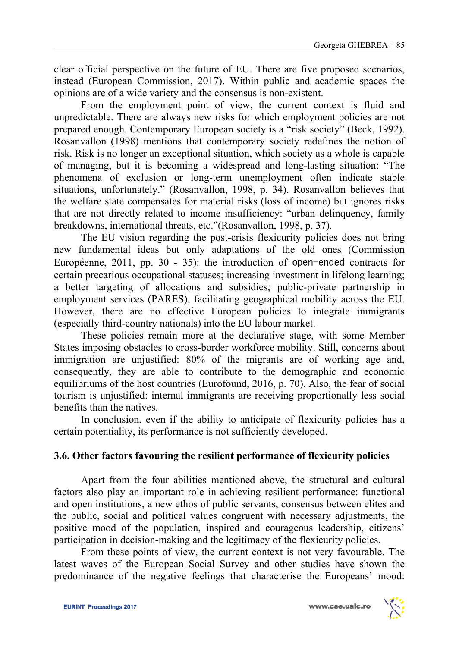clear official perspective on the future of EU. There are five proposed scenarios, instead (European Commission, 2017). Within public and academic spaces the opinions are of a wide variety and the consensus is non-existent.

 From the employment point of view, the current context is fluid and unpredictable. There are always new risks for which employment policies are not prepared enough. Contemporary European society is a "risk society" (Beck, 1992). Rosanvallon (1998) mentions that contemporary society redefines the notion of risk. Risk is no longer an exceptional situation, which society as a whole is capable of managing, but it is becoming a widespread and long-lasting situation: "The phenomena of exclusion or long-term unemployment often indicate stable situations, unfortunately." (Rosanvallon, 1998, p. 34). Rosanvallon believes that the welfare state compensates for material risks (loss of income) but ignores risks that are not directly related to income insufficiency: "urban delinquency, family breakdowns, international threats, etc."(Rosanvallon, 1998, p. 37).

 The EU vision regarding the post-crisis flexicurity policies does not bring new fundamental ideas but only adaptations of the old ones (Commission Européenne, 2011, pp. 30 - 35): the introduction of open-ended contracts for certain precarious occupational statuses; increasing investment in lifelong learning; a better targeting of allocations and subsidies; public-private partnership in employment services (PARES), facilitating geographical mobility across the EU. However, there are no effective European policies to integrate immigrants (especially third-country nationals) into the EU labour market.

 These policies remain more at the declarative stage, with some Member States imposing obstacles to cross-border workforce mobility. Still, concerns about immigration are unjustified: 80% of the migrants are of working age and, consequently, they are able to contribute to the demographic and economic equilibriums of the host countries (Eurofound, 2016, p. 70). Also, the fear of social tourism is unjustified: internal immigrants are receiving proportionally less social benefits than the natives.

 In conclusion, even if the ability to anticipate of flexicurity policies has a certain potentiality, its performance is not sufficiently developed.

# **3.6. Other factors favouring the resilient performance of flexicurity policies**

Apart from the four abilities mentioned above, the structural and cultural factors also play an important role in achieving resilient performance: functional and open institutions, a new ethos of public servants, consensus between elites and the public, social and political values congruent with necessary adjustments, the positive mood of the population, inspired and courageous leadership, citizens' participation in decision-making and the legitimacy of the flexicurity policies.

From these points of view, the current context is not very favourable. The latest waves of the European Social Survey and other studies have shown the predominance of the negative feelings that characterise the Europeans' mood:

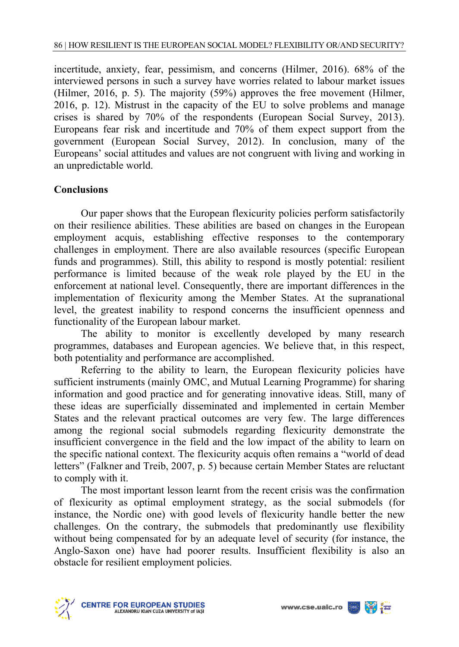incertitude, anxiety, fear, pessimism, and concerns (Hilmer, 2016). 68% of the interviewed persons in such a survey have worries related to labour market issues (Hilmer, 2016, p. 5). The majority (59%) approves the free movement (Hilmer, 2016, p. 12). Mistrust in the capacity of the EU to solve problems and manage crises is shared by 70% of the respondents (European Social Survey, 2013). Europeans fear risk and incertitude and 70% of them expect support from the government (European Social Survey, 2012). In conclusion, many of the Europeans' social attitudes and values are not congruent with living and working in an unpredictable world.

### **Conclusions**

Our paper shows that the European flexicurity policies perform satisfactorily on their resilience abilities. These abilities are based on changes in the European employment acquis, establishing effective responses to the contemporary challenges in employment. There are also available resources (specific European funds and programmes). Still, this ability to respond is mostly potential: resilient performance is limited because of the weak role played by the EU in the enforcement at national level. Consequently, there are important differences in the implementation of flexicurity among the Member States. At the supranational level, the greatest inability to respond concerns the insufficient openness and functionality of the European labour market.

The ability to monitor is excellently developed by many research programmes, databases and European agencies. We believe that, in this respect, both potentiality and performance are accomplished.

Referring to the ability to learn, the European flexicurity policies have sufficient instruments (mainly OMC, and Mutual Learning Programme) for sharing information and good practice and for generating innovative ideas. Still, many of these ideas are superficially disseminated and implemented in certain Member States and the relevant practical outcomes are very few. The large differences among the regional social submodels regarding flexicurity demonstrate the insufficient convergence in the field and the low impact of the ability to learn on the specific national context. The flexicurity acquis often remains a "world of dead letters" (Falkner and Treib, 2007, p. 5) because certain Member States are reluctant to comply with it.

The most important lesson learnt from the recent crisis was the confirmation of flexicurity as optimal employment strategy, as the social submodels (for instance, the Nordic one) with good levels of flexicurity handle better the new challenges. On the contrary, the submodels that predominantly use flexibility without being compensated for by an adequate level of security (for instance, the Anglo-Saxon one) have had poorer results. Insufficient flexibility is also an obstacle for resilient employment policies.



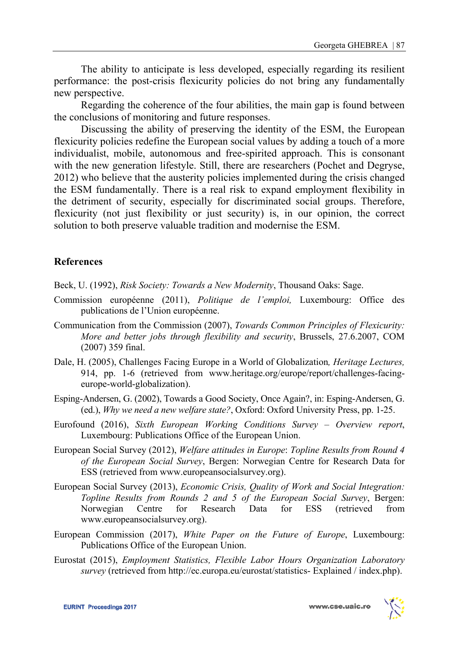The ability to anticipate is less developed, especially regarding its resilient performance: the post-crisis flexicurity policies do not bring any fundamentally new perspective.

Regarding the coherence of the four abilities, the main gap is found between the conclusions of monitoring and future responses.

Discussing the ability of preserving the identity of the ESM, the European flexicurity policies redefine the European social values by adding a touch of a more individualist, mobile, autonomous and free-spirited approach. This is consonant with the new generation lifestyle. Still, there are researchers (Pochet and Degryse, 2012) who believe that the austerity policies implemented during the crisis changed the ESM fundamentally. There is a real risk to expand employment flexibility in the detriment of security, especially for discriminated social groups. Therefore, flexicurity (not just flexibility or just security) is, in our opinion, the correct solution to both preserve valuable tradition and modernise the ESM.

# **References**

Beck, U. (1992), *Risk Society: Towards a New Modernity*, Thousand Oaks: Sage.

- Commission européenne (2011), *Politique de l'emploi,* Luxembourg: Office des publications de l'Union européenne.
- Communication from the Commission (2007), *Towards Common Principles of Flexicurity: More and better jobs through flexibility and security*, Brussels, 27.6.2007, COM (2007) 359 final.
- Dale, H. (2005), Challenges Facing Europe in a World of Globalization*, Heritage Lectures,*  914, pp. 1-6 (retrieved from www.heritage.org/europe/report/challenges-facingeurope-world-globalization).
- Esping-Andersen, G. (2002), Towards a Good Society, Once Again?, in: Esping-Andersen, G. (ed.), *Why we need a new welfare state?*, Oxford: Oxford University Press, pp. 1-25.
- Eurofound (2016), *Sixth European Working Conditions Survey Overview report*, Luxembourg: Publications Office of the European Union.
- European Social Survey (2012), *Welfare attitudes in Europe*: *Topline Results from Round 4 of the European Social Survey*, Bergen: Norwegian Centre for Research Data for ESS (retrieved from www.europeansocialsurvey.org).
- European Social Survey (2013), *Economic Crisis, Quality of Work and Social Integration: Topline Results from Rounds 2 and 5 of the European Social Survey*, Bergen: Norwegian Centre for Research Data for ESS (retrieved from www.europeansocialsurvey.org).
- European Commission (2017), *White Paper on the Future of Europe*, Luxembourg: Publications Office of the European Union.
- Eurostat (2015), *Employment Statistics, Flexible Labor Hours Organization Laboratory survey* (retrieved from http://ec.europa.eu/eurostat/statistics- Explained / index.php).

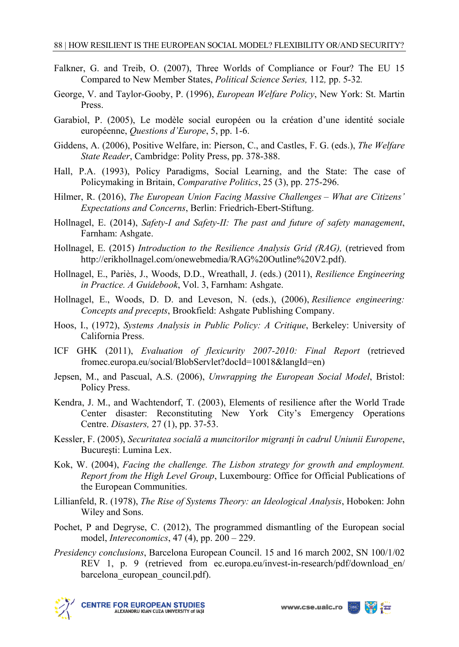- Falkner, G. and Treib, O. (2007), Three Worlds of Compliance or Four? The EU 15 Compared to New Member States, *Political Science Series,* 112*,* pp. 5-32*.*
- George, V. and Taylor-Gooby, P. (1996), *European Welfare Policy*, New York: St. Martin Press.
- Garabiol, P. (2005), Le modèle social européen ou la création d'une identité sociale européenne, *Questions d'Europe*, 5, pp. 1-6.
- Giddens, A. (2006), Positive Welfare, in: Pierson, C., and Castles, F. G. (eds.), *The Welfare State Reader*, Cambridge: Polity Press, pp. 378-388.
- Hall, P.A. (1993), Policy Paradigms, Social Learning, and the State: The case of Policymaking in Britain, *Comparative Politics*, 25 (3), pp. 275-296.
- Hilmer, R. (2016), *The European Union Facing Massive Challenges What are Citizens' Expectations and Concerns*, Berlin: Friedrich-Ebert-Stiftung.
- Hollnagel, E. (2014), *Safety-I and Safety-II: The past and future of safety management*, Farnham: Ashgate.
- Hollnagel, E. (2015) *Introduction to the Resilience Analysis Grid (RAG),* (retrieved from http://erikhollnagel.com/onewebmedia/RAG%20Outline%20V2.pdf).
- Hollnagel, E., Pariès, J., Woods, D.D., Wreathall, J. (eds.) (2011), *Resilience Engineering in Practice. A Guidebook*, Vol. 3, Farnham: Ashgate.
- Hollnagel, E., Woods, D. D. and Leveson, N. (eds.), (2006), *Resilience engineering: Concepts and precepts*, Brookfield: Ashgate Publishing Company.
- Hoos, I., (1972), *Systems Analysis in Public Policy: A Critique*, Berkeley: University of California Press.
- ICF GHK (2011), *Evaluation of flexicurity 2007-2010: Final Report* (retrieved fromec.europa.eu/social/BlobServlet?docId=10018&langId=en)
- Jepsen, M., and Pascual, A.S. (2006), *Unwrapping the European Social Model*, Bristol: Policy Press.
- Kendra, J. M., and Wachtendorf, T. (2003), Elements of resilience after the World Trade Center disaster: Reconstituting New York City's Emergency Operations Centre. *Disasters,* 27 (1), pp. 37-53.
- Kessler, F. (2005), *Securitatea socială a muncitorilor migranţi în cadrul Uniunii Europene*, Bucureşti: Lumina Lex.
- Kok, W. (2004), *Facing the challenge. The Lisbon strategy for growth and employment. Report from the High Level Group*, Luxembourg: Office for Official Publications of the European Communities.
- Lillianfeld, R. (1978), *The Rise of Systems Theory: an Ideological Analysis*, Hoboken: John Wiley and Sons.
- Pochet, P and Degryse, C. (2012), The programmed dismantling of the European social model, *Intereconomics*, 47 (4), pp. 200 – 229.
- *Presidency conclusions*, Barcelona European Council. 15 and 16 march 2002, SN 100/1/02 REV 1, p. 9 (retrieved from ec.europa.eu/invest-in-research/pdf/download en/ barcelona\_european\_council.pdf).